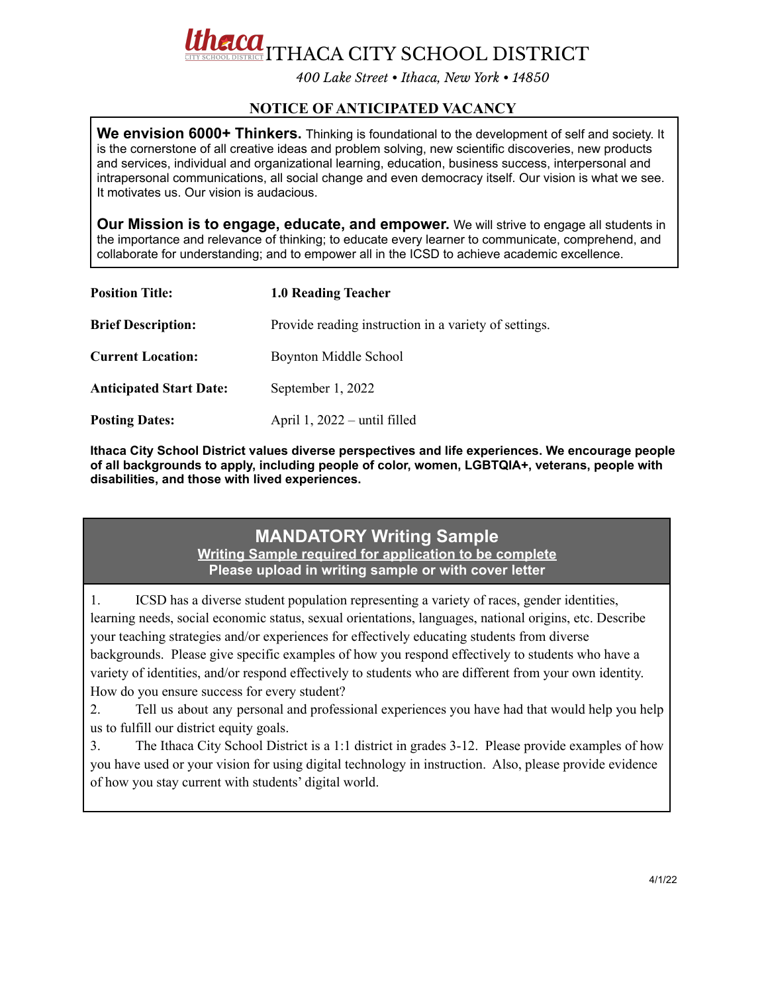**ELCOL**<br>COLDISTRICT THACA CITY SCHOOL DISTRICT

*400 Lake Street • Ithaca, New York • 14850*

## **NOTICE OF ANTICIPATED VACANCY**

We envision 6000+ Thinkers. Thinking is foundational to the development of self and society. It is the cornerstone of all creative ideas and problem solving, new scientific discoveries, new products and services, individual and organizational learning, education, business success, interpersonal and intrapersonal communications, all social change and even democracy itself. Our vision is what we see. It motivates us. Our vision is audacious.

**Our Mission is to engage, educate, and empower.** We will strive to engage all students in the importance and relevance of thinking; to educate every learner to communicate, comprehend, and collaborate for understanding; and to empower all in the ICSD to achieve academic excellence.

| <b>Position Title:</b>         | 1.0 Reading Teacher                                   |
|--------------------------------|-------------------------------------------------------|
| <b>Brief Description:</b>      | Provide reading instruction in a variety of settings. |
| <b>Current Location:</b>       | Boynton Middle School                                 |
| <b>Anticipated Start Date:</b> | September 1, 2022                                     |
| <b>Posting Dates:</b>          | April $1, 2022$ – until filled                        |

**Ithaca City School District values diverse perspectives and life experiences. We encourage people of all backgrounds to apply, including people of color, women, LGBTQIA+, veterans, people with disabilities, and those with lived experiences.**

## **MANDATORY Writing Sample Writing Sample required for application to be complete Please upload in writing sample or with cover letter**

1. ICSD has a diverse student population representing a variety of races, gender identities, learning needs, social economic status, sexual orientations, languages, national origins, etc. Describe your teaching strategies and/or experiences for effectively educating students from diverse backgrounds. Please give specific examples of how you respond effectively to students who have a variety of identities, and/or respond effectively to students who are different from your own identity. How do you ensure success for every student?

2. Tell us about any personal and professional experiences you have had that would help you help us to fulfill our district equity goals.

3. The Ithaca City School District is a 1:1 district in grades 3-12. Please provide examples of how you have used or your vision for using digital technology in instruction. Also, please provide evidence of how you stay current with students' digital world.